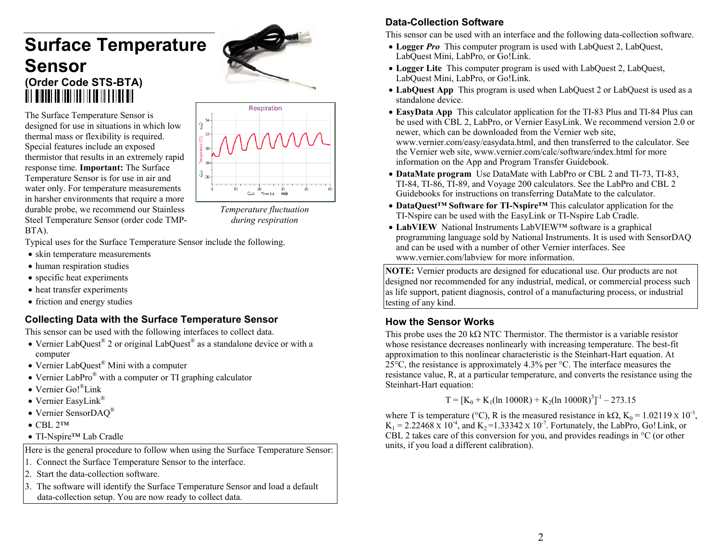# **Surface Temperature Sensor (Order Code STS-BTA)**

The Surface Temperature Sensor is designed for use in situations in which low thermal mass or flexibility is required. Special features include an exposed thermistor that results in an extremely rapid response time. **Important:** The Surface Temperature Sensor is for use in air and water only. For temperature measurements in harsher environments that require a more durable probe, we recommend our Stainless Steel Temperature Sensor (order code TMP-BTA).



*Temperature fluctuation during respiration*

Typical uses for the Surface Temperature Sensor include the following.

- skin temperature measurements
- human respiration studies
- specific heat experiments
- heat transfer experiments
- friction and energy studies

#### **Collecting Data with the Surface Temperature Sensor**

This sensor can be used with the following interfaces to collect data.

- Vernier LabQuest<sup>®</sup> 2 or original LabQuest<sup>®</sup> as a standalone device or with a computer
- Vernier LabQuest<sup>®</sup> Mini with a computer
- Vernier LabPro<sup>®</sup> with a computer or TI graphing calculator
- Vernier Go!®Link
- Vernier EasyLink®
- Vernier SensorDAQ®
- $\bullet$  CBL 2™
- TI-Nspire<sup>™</sup> Lab Cradle

Here is the general procedure to follow when using the Surface Temperature Sensor:

- 1. Connect the Surface Temperature Sensor to the interface.
- 2. Start the data-collection software.
- 3. The software will identify the Surface Temperature Sensor and load a default data-collection setup. You are now ready to collect data.

# **Data-Collection Software**

This sensor can be used with an interface and the following data-collection software.

- Logger *Pro* This computer program is used with LabQuest 2, LabQuest, LabQuest Mini, LabPro, or Go!Link.
- Logger Lite This computer program is used with LabQuest 2, LabQuest, LabQuest Mini, LabPro, or Go!Link.
- **LabQuest App** This program is used when LabQuest 2 or LabQuest is used as a standalone device.
- **EasyData App** This calculator application for the TI-83 Plus and TI-84 Plus can be used with CBL 2, LabPro, or Vernier EasyLink. We recommend version 2.0 or newer, which can be downloaded from the Vernier web site, www.vernier.com/easy/easydata.html, and then transferred to the calculator. See the Vernier web site, www.vernier.com/calc/software/index.html for more information on the App and Program Transfer Guidebook.
- **DataMate program** Use DataMate with LabPro or CBL 2 and TI-73, TI-83, TI-84, TI-86, TI-89, and Voyage 200 calculators. See the LabPro and CBL 2 Guidebooks for instructions on transferring DataMate to the calculator.
- **DataQuest™ Software for TI-Nspire™** This calculator application for the TI-Nspire can be used with the EasyLink or TI-Nspire Lab Cradle.
- **LabVIEW** National Instruments LabVIEW™ software is a graphical programming language sold by National Instruments. It is used with SensorDAQ and can be used with a number of other Vernier interfaces. See www.vernier.com/labview for more information.

**NOTE:** Vernier products are designed for educational use. Our products are not designed nor recommended for any industrial, medical, or commercial process such as life support, patient diagnosis, control of a manufacturing process, or industrial testing of any kind.

# **How the Sensor Works**

This probe uses the 20 k $\Omega$  NTC Thermistor. The thermistor is a variable resistor whose resistance decreases nonlinearly with increasing temperature. The best-fit approximation to this nonlinear characteristic is the Steinhart-Hart equation. At 25 $\degree$ C, the resistance is approximately 4.3% per  $\degree$ C. The interface measures the resistance value, R, at a particular temperature, and converts the resistance using the Steinhart-Hart equation:

 $T = [K_0 + K_1(\ln 1000R) + K_2(\ln 1000R)^3]^{-1} - 273.15$ 

where T is temperature (°C), R is the measured resistance in k $\Omega$ , K<sub>0</sub> = 1.02119 x 10<sup>-3</sup>,  $K_1 = 2.22468 \times 10^{-4}$ , and  $K_2 = 1.33342 \times 10^{-7}$ . Fortunately, the LabPro, Go! Link, or CBL 2 takes care of this conversion for you, and provides readings in °C (or other units, if you load a different calibration).